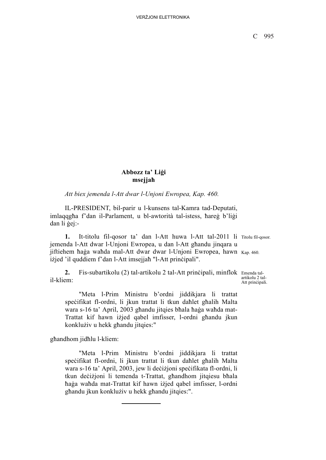### **Abbozz ta' Liġi msejjaħ**

*Att biex jemenda l-Att dwar l-Unjoni Ewropea, Kap. 460.*

IL-PRESIDENT, bil-parir u l-kunsens tal-Kamra tad-Deputati, imlaqqgħa f'dan il-Parlament, u bl-awtorità tal-istess, ħareġ b'liġi dan li ġej:-

1. It-titolu fil-qosor ta' dan l-Att huwa l-Att tal-2011 li Titolu fil-qosor. jiftiehem haġa waħda mal-Att dwar dwar l-Unjoni Ewropea, hawn Kap. 460. jemenda l-Att dwar l-Unjoni Ewropea, u dan l-Att għandu jinqara u iżjed 'il quddiem f'dan l-Att imsejjaħ "l-Att prinċipali".

2. Fis-subartikolu (2) tal-artikolu 2 tal-Att prinċipali, minflok Emenda talil-kliem:

"Meta l-Prim Ministru b'ordni jiddikjara li trattat speċifikat fl-ordni, li jkun trattat li tkun daħlet għalih Malta wara s-16 ta' April, 2003 għandu jitqies bħala ħaġa waħda mat-Trattat kif hawn iżjed qabel imfisser, l-ordni għandu jkun konklużiv u hekk għandu jitqies:"

għandhom jidħlu l-kliem:

"Meta l-Prim Ministru b'ordni jiddikjara li trattat speċifikat fl-ordni, li jkun trattat li tkun daħlet għalih Malta wara s-16 ta' April, 2003, jew li deċiżjoni speċifikata fl-ordni, li tkun deċiżjoni li temenda t-Trattat, għandhom jitqiesu bħala ħaġa waħda mat-Trattat kif hawn iżjed qabel imfisser, l-ordni għandu jkun konklużiv u hekk għandu jitqies:".

artikolu 2 tal-Att prinċipali.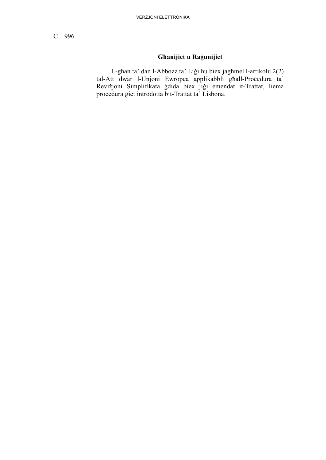## Ghanijiet u Raģunijiet

L-ghan ta' dan l-Abbozz ta' Ligi hu biex jaghmel l-artikolu 2(2) tal-Att dwar l-Unjoni Ewropea applikabbli ghall-Procedura ta' Revizjoni Simplifikata gdida biex jigi emendat it-Trattat, liema procedura giet introdotta bit-Trattat ta' Lisbona.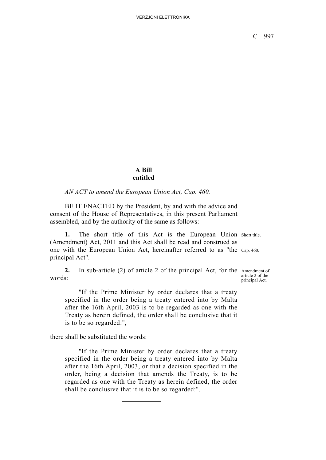## **A Bill entitled**

#### *AN ACT to amend the European Union Act, Cap. 460.*

BE IT ENACTED by the President, by and with the advice and consent of the House of Representatives, in this present Parliament assembled, and by the authority of the same as follows:-

1. The short title of this Act is the European Union short title. one with the European Union Act, hereinafter referred to as "the Cap. 460. (Amendment) Act, 2011 and this Act shall be read and construed as principal Act".

2. In sub-article (2) of article 2 of the principal Act, for the Amendment of words:

article 2 of the principal Act.

"If the Prime Minister by order declares that a treaty specified in the order being a treaty entered into by Malta after the 16th April, 2003 is to be regarded as one with the Treaty as herein defined, the order shall be conclusive that it is to be so regarded:",

there shall be substituted the words:

"If the Prime Minister by order declares that a treaty specified in the order being a treaty entered into by Malta after the 16th April, 2003, or that a decision specified in the order, being a decision that amends the Treaty, is to be regarded as one with the Treaty as herein defined, the order shall be conclusive that it is to be so regarded:".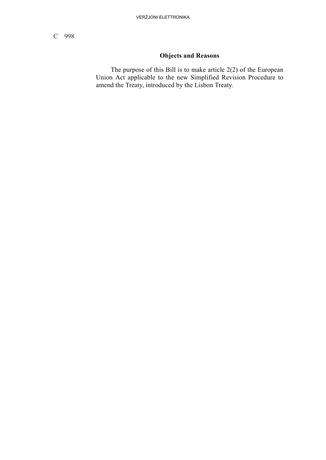C 998

# **Objects and Reasons**

The purpose of this Bill is to make article 2(2) of the European Union Act applicable to the new Simplified Revision Procedure to amend the Treaty, introduced by the Lisbon Treaty.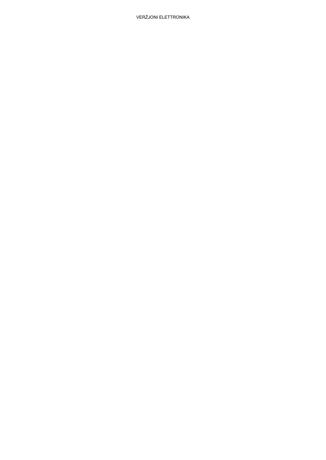**VERŻJONI ELETTRONIKA**